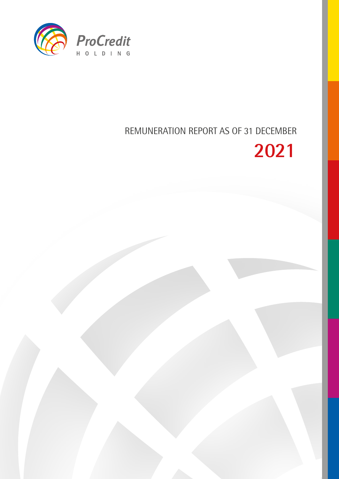

# REMUNERATION REPORT AS OF 31 DECEMBER

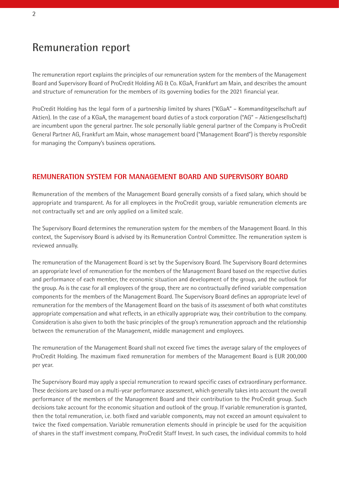# **Remuneration report**

The remuneration report explains the principles of our remuneration system for the members of the Management Board and Supervisory Board of ProCredit Holding AG & Co. KGaA, Frankfurt am Main, and describes the amount and structure of remuneration for the members of its governing bodies for the 2021 financial year.

ProCredit Holding has the legal form of a partnership limited by shares ("KGaA" – Kommanditgesellschaft auf Aktien). In the case of a KGaA, the management board duties of a stock corporation ("AG" – Aktiengesellschaft) are incumbent upon the general partner. The sole personally liable general partner of the Company is ProCredit General Partner AG, Frankfurt am Main, whose management board ("Management Board") is thereby responsible for managing the Company's business operations.

## **REMUNERATION SYSTEM FOR MANAGEMENT BOARD AND SUPERVISORY BOARD**

Remuneration of the members of the Management Board generally consists of a fixed salary, which should be appropriate and transparent. As for all employees in the ProCredit group, variable remuneration elements are not contractually set and are only applied on a limited scale.

The Supervisory Board determines the remuneration system for the members of the Management Board. In this context, the Supervisory Board is advised by its Remuneration Control Committee. The remuneration system is reviewed annually.

The remuneration of the Management Board is set by the Supervisory Board. The Supervisory Board determines an appropriate level of remuneration for the members of the Management Board based on the respective duties and performance of each member, the economic situation and development of the group, and the outlook for the group. As is the case for all employees of the group, there are no contractually defined variable compensation components for the members of the Management Board. The Supervisory Board defines an appropriate level of remuneration for the members of the Management Board on the basis of its assessment of both what constitutes appropriate compensation and what reflects, in an ethically appropriate way, their contribution to the company. Consideration is also given to both the basic principles of the group's remuneration approach and the relationship between the remuneration of the Management, middle management and employees.

The remuneration of the Management Board shall not exceed five times the average salary of the employees of ProCredit Holding. The maximum fixed remuneration for members of the Management Board is EUR 200,000 per year.

The Supervisory Board may apply a special remuneration to reward specific cases of extraordinary performance. These decisions are based on a multi-year performance assessment, which generally takes into account the overall performance of the members of the Management Board and their contribution to the ProCredit group. Such decisions take account for the economic situation and outlook of the group. If variable remuneration is granted, then the total remuneration, i.e. both fixed and variable components, may not exceed an amount equivalent to twice the fixed compensation. Variable remuneration elements should in principle be used for the acquisition of shares in the staff investment company, ProCredit Staff Invest. In such cases, the individual commits to hold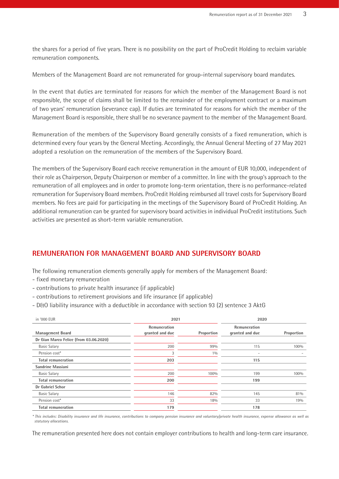the shares for a period of five years. There is no possibility on the part of ProCredit Holding to reclaim variable remuneration components.

Members of the Management Board are not remunerated for group-internal supervisory board mandates.

In the event that duties are terminated for reasons for which the member of the Management Board is not responsible, the scope of claims shall be limited to the remainder of the employment contract or a maximum of two years' remuneration (severance cap). If duties are terminated for reasons for which the member of the Management Board is responsible, there shall be no severance payment to the member of the Management Board.

Remuneration of the members of the Supervisory Board generally consists of a fixed remuneration, which is determined every four years by the General Meeting. Accordingly, the Annual General Meeting of 27 May 2021 adopted a resolution on the remuneration of the members of the Supervisory Board.

The members of the Supervisory Board each receive remuneration in the amount of EUR 10,000, independent of their role as Chairperson, Deputy Chairperson or member of a committee. In line with the group's approach to the remuneration of all employees and in order to promote long-term orientation, there is no performance-related remuneration for Supervisory Board members. ProCredit Holding reimbursed all travel costs for Supervisory Board members. No fees are paid for participating in the meetings of the Supervisory Board of ProCredit Holding. An additional remuneration can be granted for supervisory board activities in individual ProCredit institutions. Such activities are presented as short-term variable remuneration.

### **REMUNERATION FOR MANAGEMENT BOARD AND SUPERVISORY BOARD**

The following remuneration elements generally apply for members of the Management Board:

- fixed monetary remuneration
- contributions to private health insurance (if applicable)
- contributions to retirement provisions and life insurance (if applicable)
- D&O liability insurance with a deductible in accordance with section 93 (2) sentence 3 AktG

| in '000 EUR                            | 2021                            |            | 2020                            |            |
|----------------------------------------|---------------------------------|------------|---------------------------------|------------|
| <b>Management Board</b>                | Remuneration<br>granted and due | Proportion | Remuneration<br>granted and due | Proportion |
| Dr Gian Marco Felice (from 03.06.2020) |                                 |            |                                 |            |
|                                        |                                 |            |                                 |            |
| <b>Basic Salary</b>                    | 200                             | 99%        | 115                             | 100%       |
| Pension cost*                          | 3                               | $1\%$      | ٠                               |            |
| <b>Total remuneration</b>              | 203                             |            | 115                             |            |
| Sandrine Massiani                      |                                 |            |                                 |            |
| <b>Basic Salary</b>                    | 200                             | 100%       | 199                             | 100%       |
| <b>Total remuneration</b>              | 200                             |            | 199                             |            |
| <b>Dr Gabriel Schor</b>                |                                 |            |                                 |            |
| <b>Basic Salary</b>                    | 146                             | 82%        | 145                             | 81%        |
| Pension cost*                          | 33                              | 18%        | 33                              | 19%        |
| <b>Total remuneration</b>              | 179                             |            | 178                             |            |

*\* This includes: Disability insurance and life insurance, contributions to company pension insurance and voluntary/private health insurance, expense allowance as well as statutory allocations.*

The remuneration presented here does not contain employer contributions to health and long-term care insurance.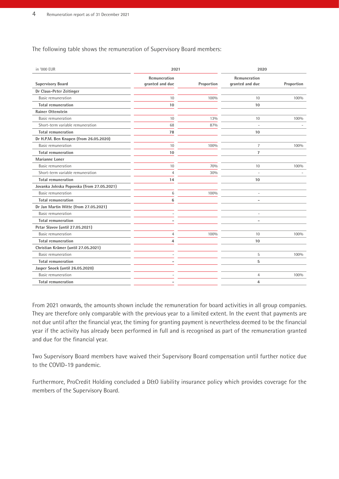The following table shows the remuneration of Supervisory Board members:

| in '000 EUR                                | 2021                            |            | 2020                            |            |
|--------------------------------------------|---------------------------------|------------|---------------------------------|------------|
| <b>Supervisory Board</b>                   | Remuneration<br>granted and due | Proportion | Remuneration<br>granted and due | Proportion |
| Dr Claus-Peter Zeitinger                   |                                 |            |                                 |            |
| <b>Basic remuneration</b>                  | 10                              | 100%       | 10                              | 100%       |
| <b>Total remuneration</b>                  | 10                              |            | 10                              |            |
| <b>Rainer Ottenstein</b>                   |                                 |            |                                 |            |
| <b>Basic remuneration</b>                  | 10                              | 13%        | 10                              | 100%       |
| Short-term variable remuneration           | 68                              | 87%        | ٠                               |            |
| <b>Total remuneration</b>                  | 78                              |            | 10                              |            |
| Dr H.P.M. Ben Knapen (from 26.05.2020)     |                                 |            |                                 |            |
| <b>Basic remuneration</b>                  | 10                              | 100%       | $\overline{7}$                  | 100%       |
| <b>Total remuneration</b>                  | 10                              |            | $\overline{7}$                  |            |
| <b>Marianne Loner</b>                      |                                 |            |                                 |            |
| <b>Basic remuneration</b>                  | 10                              | 70%        | 10                              | 100%       |
| Short-term variable remuneration           | $\overline{4}$                  | 30%        | ×.                              |            |
| <b>Total remuneration</b>                  | 14                              |            | 10                              |            |
| Jovanka Joleska Popovska (from 27.05.2021) |                                 |            |                                 |            |
| <b>Basic remuneration</b>                  | 6                               | 100%       | ÷,                              |            |
| <b>Total remuneration</b>                  | 6                               |            | $\overline{a}$                  |            |
| Dr Jan Martin Witte (from 27.05.2021)      |                                 |            |                                 |            |
| <b>Basic remuneration</b>                  |                                 |            | ÷,                              |            |
| <b>Total remuneration</b>                  |                                 |            |                                 |            |
| Petar Slavov (until 27.05.2021)            |                                 |            |                                 |            |
| Basic remuneration                         | $\overline{4}$                  | 100%       | 10                              | 100%       |
| <b>Total remuneration</b>                  | 4                               |            | 10                              |            |
| Christian Krämer (until 27.05.2021)        |                                 |            |                                 |            |
| <b>Basic remuneration</b>                  |                                 |            | 5                               | 100%       |
| <b>Total remuneration</b>                  |                                 |            | 5                               |            |
| Jasper Snoek (until 26.05.2020)            |                                 |            |                                 |            |
| <b>Basic remuneration</b>                  |                                 |            | $\overline{4}$                  | 100%       |
| <b>Total remuneration</b>                  |                                 |            | 4                               |            |

From 2021 onwards, the amounts shown include the remuneration for board activities in all group companies. They are therefore only comparable with the previous year to a limited extent. In the event that payments are not due until after the financial year, the timing for granting payment is nevertheless deemed to be the financial year if the activity has already been performed in full and is recognised as part of the remuneration granted and due for the financial year.

Two Supervisory Board members have waived their Supervisory Board compensation until further notice due to the COVID-19 pandemic.

Furthermore, ProCredit Holding concluded a D&O liability insurance policy which provides coverage for the members of the Supervisory Board.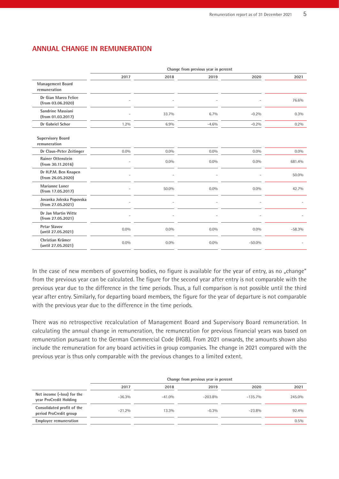|                                               | Change from previous year in percent |         |         |          |          |
|-----------------------------------------------|--------------------------------------|---------|---------|----------|----------|
|                                               | 2017                                 | 2018    | 2019    | 2020     | 2021     |
| <b>Management Board</b><br>remuneration       |                                      |         |         |          |          |
| Dr Gian Marco Felice<br>(from 03.06.2020)     |                                      |         |         |          | 76.6%    |
| Sandrine Massiani<br>(from 01.03.2017)        |                                      | 33.7%   | 6.7%    | $-0.2%$  | 0.3%     |
| Dr Gabriel Schor                              | 1.2%                                 | 6.9%    | $-4.6%$ | $-0.2%$  | $0.2\%$  |
| <b>Supervisory Board</b><br>remuneration      |                                      |         |         |          |          |
| Dr Claus-Peter Zeitinger                      | $0.0\%$                              | $0.0\%$ | $0.0\%$ | $0.0\%$  | $0.0\%$  |
| <b>Rainer Ottenstein</b><br>(from 30.11.2016) |                                      | $0.0\%$ | $0.0\%$ | $0.0\%$  | 681.4%   |
| Dr H.P.M. Ben Knapen<br>(from 26.05.2020)     |                                      |         |         |          | 50.0%    |
| Marianne Loner<br>(from 17.05.2017)           |                                      | 50.0%   | $0.0\%$ | $0.0\%$  | 42.7%    |
| Jovanka Joleska Popovska<br>(from 27.05.2021) |                                      |         |         |          |          |
| Dr Jan Martin Witte<br>(from 27.05.2021)      |                                      |         |         |          |          |
| <b>Petar Slavov</b><br>(until 27.05.2021)     | $0.0\%$                              | $0.0\%$ | $0.0\%$ | $0.0\%$  | $-58.3%$ |
| Christian Krämer<br>(until 27.05.2021)        | $0.0\%$                              | $0.0\%$ | $0.0\%$ | $-50.0%$ |          |

# **ANNUAL CHANGE IN REMUNERATION**

In the case of new members of governing bodies, no figure is available for the year of entry, as no "change" from the previous year can be calculated. The figure for the second year after entry is not comparable with the previous year due to the difference in the time periods. Thus, a full comparison is not possible until the third year after entry. Similarly, for departing board members, the figure for the year of departure is not comparable with the previous year due to the difference in the time periods.

There was no retrospective recalculation of Management Board and Supervisory Board remuneration. In calculating the annual change in remuneration, the remuneration for previous financial years was based on remuneration pursuant to the German Commercial Code (HGB). From 2021 onwards, the amounts shown also include the remuneration for any board activities in group companies. The change in 2021 compared with the previous year is thus only comparable with the previous changes to a limited extent.

|                                                      | Change from previous year in percent |          |           |           |         |
|------------------------------------------------------|--------------------------------------|----------|-----------|-----------|---------|
|                                                      | 2017                                 | 2018     | 2019      | 2020      | 2021    |
| Net income (-loss) for the<br>year ProCredit Holding | $-36.3%$                             | $-41.0%$ | $-203.8%$ | $-135.7%$ | 245.0%  |
| Consolidated profit of the<br>period ProCredit group | $-21.2%$                             | 13.3%    | $-0.3%$   | $-23.8%$  | 92.4%   |
| <b>Employee remuneration</b>                         |                                      |          |           |           | $0.5\%$ |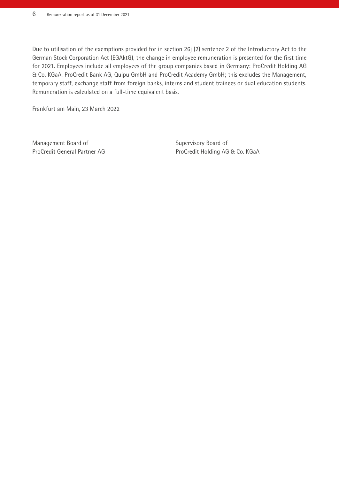Due to utilisation of the exemptions provided for in section 26j (2) sentence 2 of the Introductory Act to the German Stock Corporation Act (EGAktG), the change in employee remuneration is presented for the first time for 2021. Employees include all employees of the group companies based in Germany: ProCredit Holding AG & Co. KGaA, ProCredit Bank AG, Quipu GmbH and ProCredit Academy GmbH; this excludes the Management, temporary staff, exchange staff from foreign banks, interns and student trainees or dual education students. Remuneration is calculated on a full-time equivalent basis.

Frankfurt am Main, 23 March 2022

Management Board of Supervisory Board of

ProCredit General Partner AG ProCredit Holding AG & Co. KGaA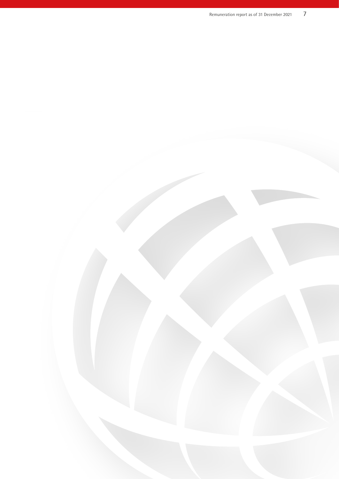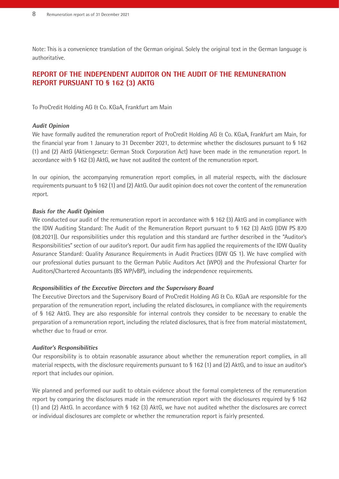Note: This is a convenience translation of the German original. Solely the original text in the German language is authoritative.

# **REPORT OF THE INDEPENDENT AUDITOR ON THE AUDIT OF THE REMUNERATION REPORT PURSUANT TO § 162 (3) AKTG**

To ProCredit Holding AG & Co. KGaA, Frankfurt am Main

#### **Audit Opinion**

We have formally audited the remuneration report of ProCredit Holding AG & Co. KGaA, Frankfurt am Main, for the financial year from 1 January to 31 December 2021, to determine whether the disclosures pursuant to § 162 (1) and (2) AktG (Aktiengesetz: German Stock Corporation Act) have been made in the remuneration report. In accordance with § 162 (3) AktG, we have not audited the content of the remuneration report.

In our opinion, the accompanying remuneration report complies, in all material respects, with the disclosure requirements pursuant to § 162 (1) and (2) AktG. Our audit opinion does not cover the content of the remuneration report.

#### **Basis for the Audit Opinion**

We conducted our audit of the remuneration report in accordance with § 162 (3) AktG and in compliance with the IDW Auditing Standard: The Audit of the Remuneration Report pursuant to § 162 (3) AktG (IDW PS 870 (08.2021)). Our responsibilities under this regulation and this standard are further described in the "Auditor's Responsibilities" section of our auditor's report. Our audit firm has applied the requirements of the IDW Quality Assurance Standard: Quality Assurance Requirements in Audit Practices (IDW QS 1). We have complied with our professional duties pursuant to the German Public Auditors Act (WPO) and the Professional Charter for Auditors/Chartered Accountants (BS WP/vBP), including the independence requirements.

#### **Responsibilities of the Executive Directors and the Supervisory Board**

The Executive Directors and the Supervisory Board of ProCredit Holding AG & Co. KGaA are responsible for the preparation of the remuneration report, including the related disclosures, in compliance with the requirements of § 162 AktG. They are also responsible for internal controls they consider to be necessary to enable the preparation of a remuneration report, including the related disclosures, that is free from material misstatement, whether due to fraud or error.

#### **Auditor's Responsibilities**

Our responsibility is to obtain reasonable assurance about whether the remuneration report complies, in all material respects, with the disclosure requirements pursuant to § 162 (1) and (2) AktG, and to issue an auditor's report that includes our opinion.

We planned and performed our audit to obtain evidence about the formal completeness of the remuneration report by comparing the disclosures made in the remuneration report with the disclosures required by § 162 (1) and (2) AktG. In accordance with § 162 (3) AktG, we have not audited whether the disclosures are correct or individual disclosures are complete or whether the remuneration report is fairly presented.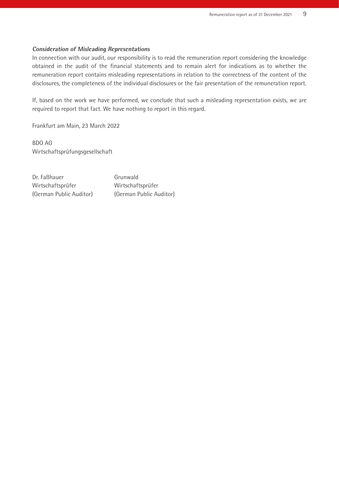#### **Consideration of Misleading Representations**

In connection with our audit, our responsibility is to read the remuneration report considering the knowledge obtained in the audit of the financial statements and to remain alert for indications as to whether the remuneration report contains misleading representations in relation to the correctness of the content of the disclosures, the completeness of the individual disclosures or the fair presentation of the remuneration report.

If, based on the work we have performed, we conclude that such a misleading representation exists, we are required to report that fact. We have nothing to report in this regard.

Frankfurt am Main, 23 March 2022

BDO AG Wirtschaftsprüfungsgesellschaft

Dr. Faßhauer Grunwald Wirtschaftsprüfer Wirtschaftsprüfer (German Public Auditor) (German Public Auditor)